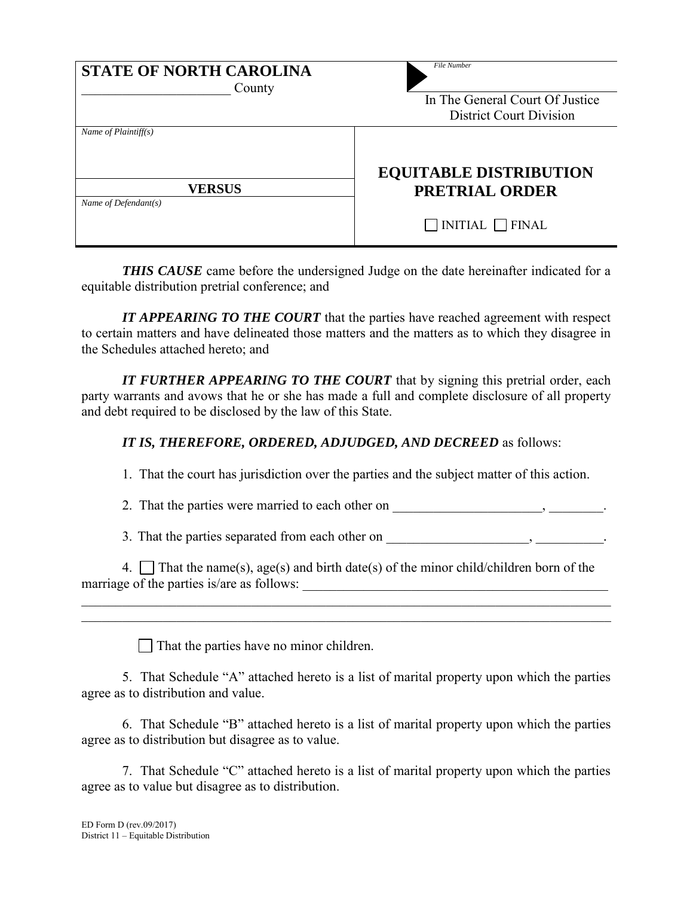| <b>STATE OF NORTH CAROLINA</b><br>County | <b>File Number</b><br>In The General Court Of Justice<br><b>District Court Division</b> |
|------------------------------------------|-----------------------------------------------------------------------------------------|
| Name of Plaintiff(s)                     | <b>EQUITABLE DISTRIBUTION</b>                                                           |
| <b>VERSUS</b><br>Name of Defendant(s)    | <b>PRETRIAL ORDER</b>                                                                   |
|                                          | $\Box$ INITIAL $\Box$ FINAL                                                             |

*THIS CAUSE* came before the undersigned Judge on the date hereinafter indicated for a equitable distribution pretrial conference; and

*IT APPEARING TO THE COURT* that the parties have reached agreement with respect to certain matters and have delineated those matters and the matters as to which they disagree in the Schedules attached hereto; and

*IT FURTHER APPEARING TO THE COURT* that by signing this pretrial order, each party warrants and avows that he or she has made a full and complete disclosure of all property and debt required to be disclosed by the law of this State.

## *IT IS, THEREFORE, ORDERED, ADJUDGED, AND DECREED* as follows:

1. That the court has jurisdiction over the parties and the subject matter of this action.

2. That the parties were married to each other on \_\_\_\_\_\_\_\_\_\_\_\_\_\_\_\_\_\_\_\_\_, \_\_\_\_\_\_\_\_\_.

3. That the parties separated from each other on \_\_\_\_\_\_\_\_\_\_\_\_\_\_\_\_\_\_\_\_\_, \_\_\_\_\_\_\_\_\_\_*.*

| 4. That the name(s), age(s) and birth date(s) of the minor child/children born of the |  |
|---------------------------------------------------------------------------------------|--|
| marriage of the parties is/are as follows:                                            |  |

\_\_\_\_\_\_\_\_\_\_\_\_\_\_\_\_\_\_\_\_\_\_\_\_\_\_\_\_\_\_\_\_\_\_\_\_\_\_\_\_\_\_\_\_\_\_\_\_\_\_\_\_\_\_\_\_\_\_\_\_\_\_\_\_\_\_\_\_\_\_\_\_\_\_\_\_\_\_ \_\_\_\_\_\_\_\_\_\_\_\_\_\_\_\_\_\_\_\_\_\_\_\_\_\_\_\_\_\_\_\_\_\_\_\_\_\_\_\_\_\_\_\_\_\_\_\_\_\_\_\_\_\_\_\_\_\_\_\_\_\_\_\_\_\_\_\_\_\_\_\_\_\_\_\_\_\_

That the parties have no minor children.

5. That Schedule "A" attached hereto is a list of marital property upon which the parties agree as to distribution and value.

6. That Schedule "B" attached hereto is a list of marital property upon which the parties agree as to distribution but disagree as to value.

7. That Schedule "C" attached hereto is a list of marital property upon which the parties agree as to value but disagree as to distribution.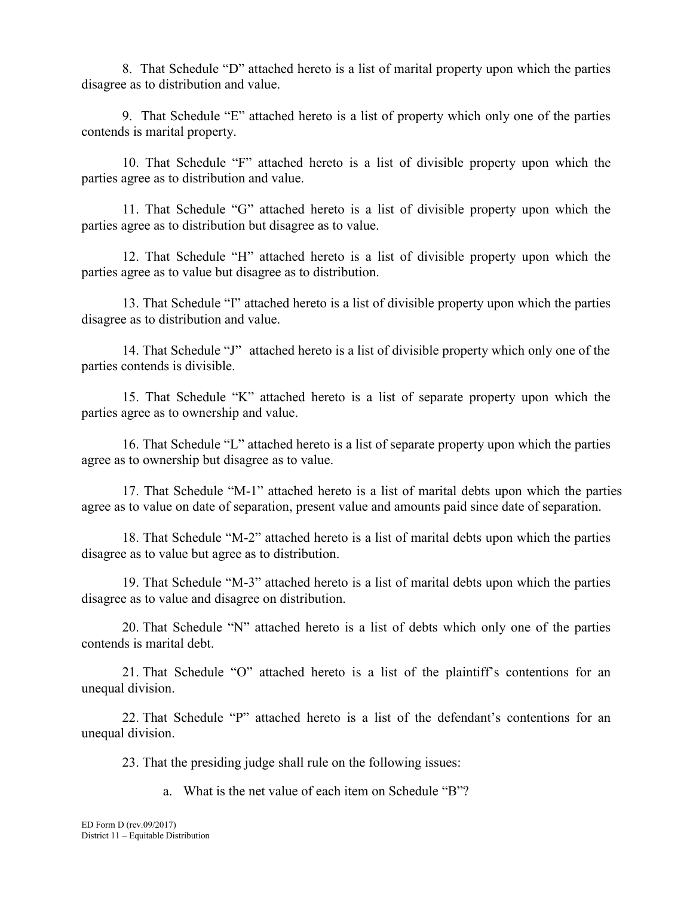8. That Schedule "D" attached hereto is a list of marital property upon which the parties disagree as to distribution and value.

9. That Schedule "E" attached hereto is a list of property which only one of the parties contends is marital property.

10. That Schedule "F" attached hereto is a list of divisible property upon which the parties agree as to distribution and value.

11. That Schedule "G" attached hereto is a list of divisible property upon which the parties agree as to distribution but disagree as to value.

12. That Schedule "H" attached hereto is a list of divisible property upon which the parties agree as to value but disagree as to distribution.

13. That Schedule "I" attached hereto is a list of divisible property upon which the parties disagree as to distribution and value.

14. That Schedule "J" attached hereto is a list of divisible property which only one of the parties contends is divisible.

15. That Schedule "K" attached hereto is a list of separate property upon which the parties agree as to ownership and value.

16. That Schedule "L" attached hereto is a list of separate property upon which the parties agree as to ownership but disagree as to value.

17. That Schedule "M-1" attached hereto is a list of marital debts upon which the parties agree as to value on date of separation, present value and amounts paid since date of separation.

18. That Schedule "M-2" attached hereto is a list of marital debts upon which the parties disagree as to value but agree as to distribution.

19. That Schedule "M-3" attached hereto is a list of marital debts upon which the parties disagree as to value and disagree on distribution.

20. That Schedule "N" attached hereto is a list of debts which only one of the parties contends is marital debt.

21. That Schedule "O" attached hereto is a list of the plaintiff's contentions for an unequal division.

22. That Schedule "P" attached hereto is a list of the defendant's contentions for an unequal division.

23. That the presiding judge shall rule on the following issues:

a. What is the net value of each item on Schedule "B"?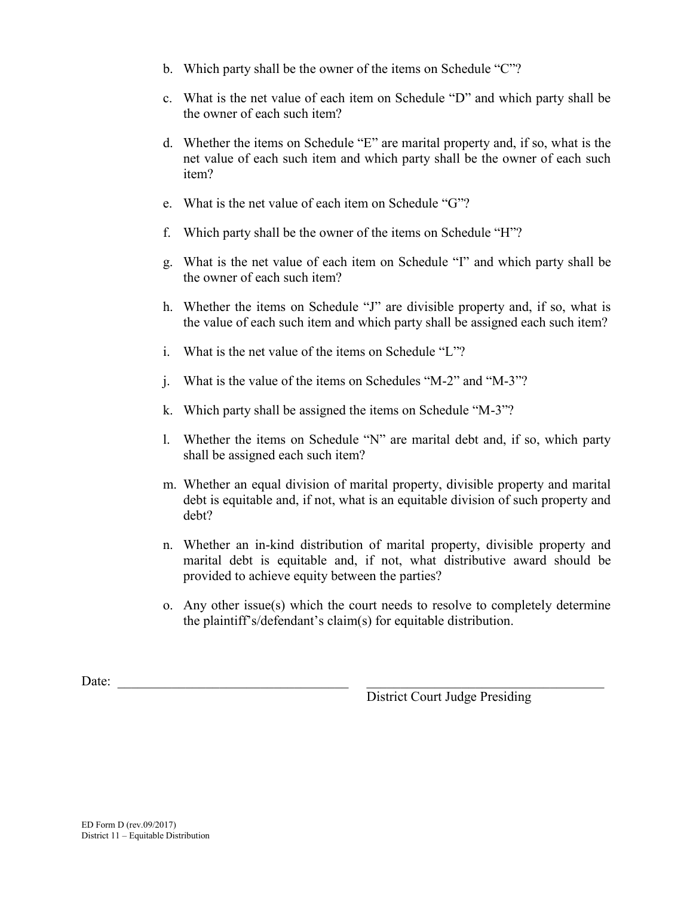- b. Which party shall be the owner of the items on Schedule "C"?
- c. What is the net value of each item on Schedule "D" and which party shall be the owner of each such item?
- d. Whether the items on Schedule "E" are marital property and, if so, what is the net value of each such item and which party shall be the owner of each such item?
- e. What is the net value of each item on Schedule "G"?
- f. Which party shall be the owner of the items on Schedule "H"?
- g. What is the net value of each item on Schedule "I" and which party shall be the owner of each such item?
- h. Whether the items on Schedule "J" are divisible property and, if so, what is the value of each such item and which party shall be assigned each such item?
- i. What is the net value of the items on Schedule "L"?
- j. What is the value of the items on Schedules "M-2" and "M-3"?
- k. Which party shall be assigned the items on Schedule "M-3"?
- l. Whether the items on Schedule "N" are marital debt and, if so, which party shall be assigned each such item?
- m. Whether an equal division of marital property, divisible property and marital debt is equitable and, if not, what is an equitable division of such property and debt?
- n. Whether an in-kind distribution of marital property, divisible property and marital debt is equitable and, if not, what distributive award should be provided to achieve equity between the parties?
- o. Any other issue(s) which the court needs to resolve to completely determine the plaintiff's/defendant's claim(s) for equitable distribution.

Date:

District Court Judge Presiding